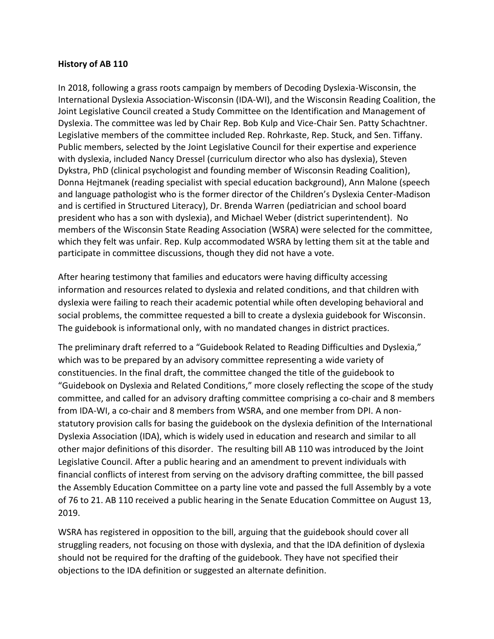## **History of AB 110**

In 2018, following a grass roots campaign by members of Decoding Dyslexia-Wisconsin, the International Dyslexia Association-Wisconsin (IDA-WI), and the Wisconsin Reading Coalition, the Joint Legislative Council created a Study Committee on the Identification and Management of Dyslexia. The committee was led by Chair Rep. Bob Kulp and Vice-Chair Sen. Patty Schachtner. Legislative members of the committee included Rep. Rohrkaste, Rep. Stuck, and Sen. Tiffany. Public members, selected by the Joint Legislative Council for their expertise and experience with dyslexia, included Nancy Dressel (curriculum director who also has dyslexia), Steven Dykstra, PhD (clinical psychologist and founding member of Wisconsin Reading Coalition), Donna Hejtmanek (reading specialist with special education background), Ann Malone (speech and language pathologist who is the former director of the Children's Dyslexia Center-Madison and is certified in Structured Literacy), Dr. Brenda Warren (pediatrician and school board president who has a son with dyslexia), and Michael Weber (district superintendent). No members of the Wisconsin State Reading Association (WSRA) were selected for the committee, which they felt was unfair. Rep. Kulp accommodated WSRA by letting them sit at the table and participate in committee discussions, though they did not have a vote.

After hearing testimony that families and educators were having difficulty accessing information and resources related to dyslexia and related conditions, and that children with dyslexia were failing to reach their academic potential while often developing behavioral and social problems, the committee requested a bill to create a dyslexia guidebook for Wisconsin. The guidebook is informational only, with no mandated changes in district practices.

The preliminary draft referred to a "Guidebook Related to Reading Difficulties and Dyslexia," which was to be prepared by an advisory committee representing a wide variety of constituencies. In the final draft, the committee changed the title of the guidebook to "Guidebook on Dyslexia and Related Conditions," more closely reflecting the scope of the study committee, and called for an advisory drafting committee comprising a co-chair and 8 members from IDA-WI, a co-chair and 8 members from WSRA, and one member from DPI. A nonstatutory provision calls for basing the guidebook on the dyslexia definition of the International Dyslexia Association (IDA), which is widely used in education and research and similar to all other major definitions of this disorder. The resulting bill AB 110 was introduced by the Joint Legislative Council. After a public hearing and an amendment to prevent individuals with financial conflicts of interest from serving on the advisory drafting committee, the bill passed the Assembly Education Committee on a party line vote and passed the full Assembly by a vote of 76 to 21. AB 110 received a public hearing in the Senate Education Committee on August 13, 2019.

WSRA has registered in opposition to the bill, arguing that the guidebook should cover all struggling readers, not focusing on those with dyslexia, and that the IDA definition of dyslexia should not be required for the drafting of the guidebook. They have not specified their objections to the IDA definition or suggested an alternate definition.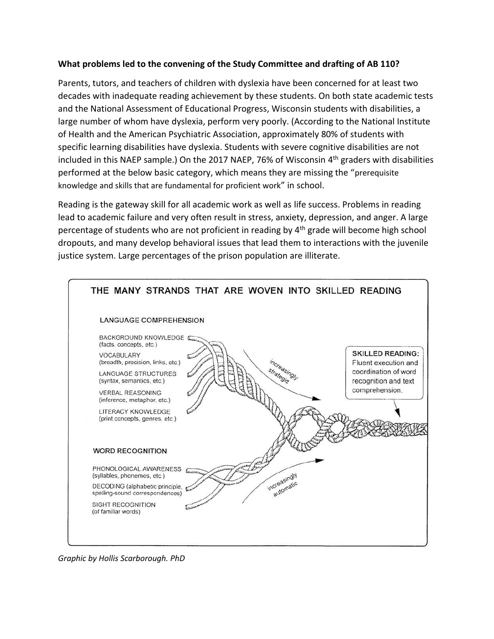## **What problems led to the convening of the Study Committee and drafting of AB 110?**

Parents, tutors, and teachers of children with dyslexia have been concerned for at least two decades with inadequate reading achievement by these students. On both state academic tests and the National Assessment of Educational Progress, Wisconsin students with disabilities, a large number of whom have dyslexia, perform very poorly. (According to the National Institute of Health and the American Psychiatric Association, approximately 80% of students with specific learning disabilities have dyslexia. Students with severe cognitive disabilities are not included in this NAEP sample.) On the 2017 NAEP, 76% of Wisconsin 4<sup>th</sup> graders with disabilities performed at the below basic category, which means they are missing the "prerequisite knowledge and skills that are fundamental for proficient work" in school.

Reading is the gateway skill for all academic work as well as life success. Problems in reading lead to academic failure and very often result in stress, anxiety, depression, and anger. A large percentage of students who are not proficient in reading by 4<sup>th</sup> grade will become high school dropouts, and many develop behavioral issues that lead them to interactions with the juvenile justice system. Large percentages of the prison population are illiterate.



*Graphic by Hollis Scarborough. PhD*